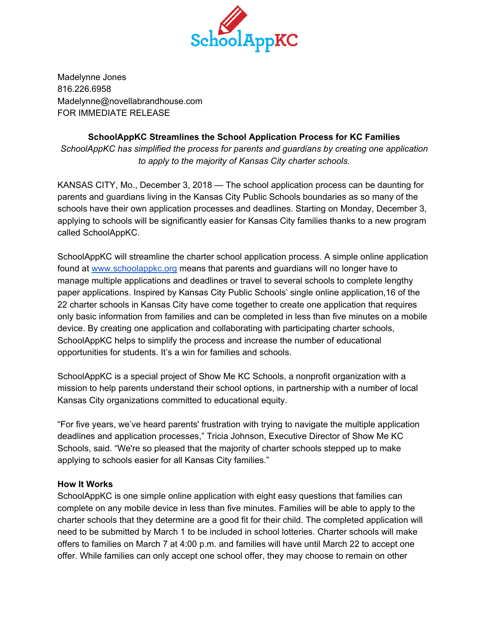

Madelynne Jones 816.226.6958 Madelynne@novellabrandhouse.com FOR IMMEDIATE RELEASE

# **SchoolAppKC Streamlines the School Application Process for KC Families**

*SchoolAppKC has simplified the process for parents and guardians by creating one application to apply to the majority of Kansas City charter schools.*

KANSAS CITY, Mo., December 3, 2018 — The school application process can be daunting for parents and guardians living in the Kansas City Public Schools boundaries as so many of the schools have their own application processes and deadlines. Starting on Monday, December 3, applying to schools will be significantly easier for Kansas City families thanks to a new program called SchoolAppKC.

SchoolAppKC will streamline the charter school application process. A simple online application found at [www.schoolappkc.org](http://www.schoolappkc.org/) means that parents and guardians will no longer have to manage multiple applications and deadlines or travel to several schools to complete lengthy paper applications. Inspired by Kansas City Public Schools' single online application,16 of the 22 charter schools in Kansas City have come together to create one application that requires only basic information from families and can be completed in less than five minutes on a mobile device. By creating one application and collaborating with participating charter schools, SchoolAppKC helps to simplify the process and increase the number of educational opportunities for students. It's a win for families and schools.

SchoolAppKC is a special project of Show Me KC Schools, a nonprofit organization with a mission to help parents understand their school options, in partnership with a number of local Kansas City organizations committed to educational equity.

"For five years, we've heard parents' frustration with trying to navigate the multiple application deadlines and application processes," Tricia Johnson, Executive Director of Show Me KC Schools, said. "We're so pleased that the majority of charter schools stepped up to make applying to schools easier for all Kansas City families."

## **How It Works**

SchoolAppKC is one simple online application with eight easy questions that families can complete on any mobile device in less than five minutes. Families will be able to apply to the charter schools that they determine are a good fit for their child. The completed application will need to be submitted by March 1 to be included in school lotteries. Charter schools will make offers to families on March 7 at 4:00 p.m. and families will have until March 22 to accept one offer. While families can only accept one school offer, they may choose to remain on other